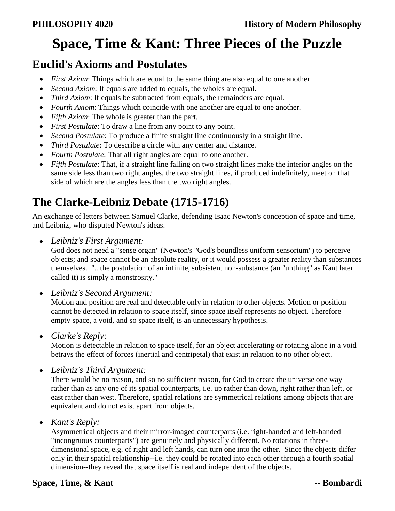# **Space, Time & Kant: Three Pieces of the Puzzle**

## **Euclid's Axioms and Postulates**

- *First Axiom*: Things which are equal to the same thing are also equal to one another.
- *Second Axiom*: If equals are added to equals, the wholes are equal.
- *Third Axiom*: If equals be subtracted from equals, the remainders are equal.
- *Fourth Axiom*: Things which coincide with one another are equal to one another.
- *Fifth Axiom*: The whole is greater than the part.
- *First Postulate*: To draw a line from any point to any point.
- *Second Postulate*: To produce a finite straight line continuously in a straight line.
- *Third Postulate*: To describe a circle with any center and distance.
- *Fourth Postulate*: That all right angles are equal to one another.
- *Fifth Postulate*: That, if a straight line falling on two straight lines make the interior angles on the same side less than two right angles, the two straight lines, if produced indefinitely, meet on that side of which are the angles less than the two right angles.

## **The Clarke-Leibniz Debate (1715-1716)**

An exchange of letters between Samuel Clarke, defending Isaac Newton's conception of space and time, and Leibniz, who disputed Newton's ideas.

*Leibniz's First Argument:* 

God does not need a "sense organ" (Newton's "God's boundless uniform sensorium") to perceive objects; and space cannot be an absolute reality, or it would possess a greater reality than substances themselves. "...the postulation of an infinite, subsistent non-substance (an "unthing" as Kant later called it) is simply a monstrosity."

*Leibniz's Second Argument:* 

Motion and position are real and detectable only in relation to other objects. Motion or position cannot be detected in relation to space itself, since space itself represents no object. Therefore empty space, a void, and so space itself, is an unnecessary hypothesis.

*Clarke's Reply:* 

Motion is detectable in relation to space itself, for an object accelerating or rotating alone in a void betrays the effect of forces (inertial and centripetal) that exist in relation to no other object.

*Leibniz's Third Argument:* 

There would be no reason, and so no sufficient reason, for God to create the universe one way rather than as any one of its spatial counterparts, i.e. up rather than down, right rather than left, or east rather than west. Therefore, spatial relations are symmetrical relations among objects that are equivalent and do not exist apart from objects.

*Kant's Reply:* 

Asymmetrical objects and their mirror-imaged counterparts (i.e. right-handed and left-handed "incongruous counterparts") are genuinely and physically different. No rotations in threedimensional space, e.g. of right and left hands, can turn one into the other. Since the objects differ only in their spatial relationship--i.e. they could be rotated into each other through a fourth spatial dimension--they reveal that space itself is real and independent of the objects.

### **Space, Time, & Kant** --- **Bombardi**